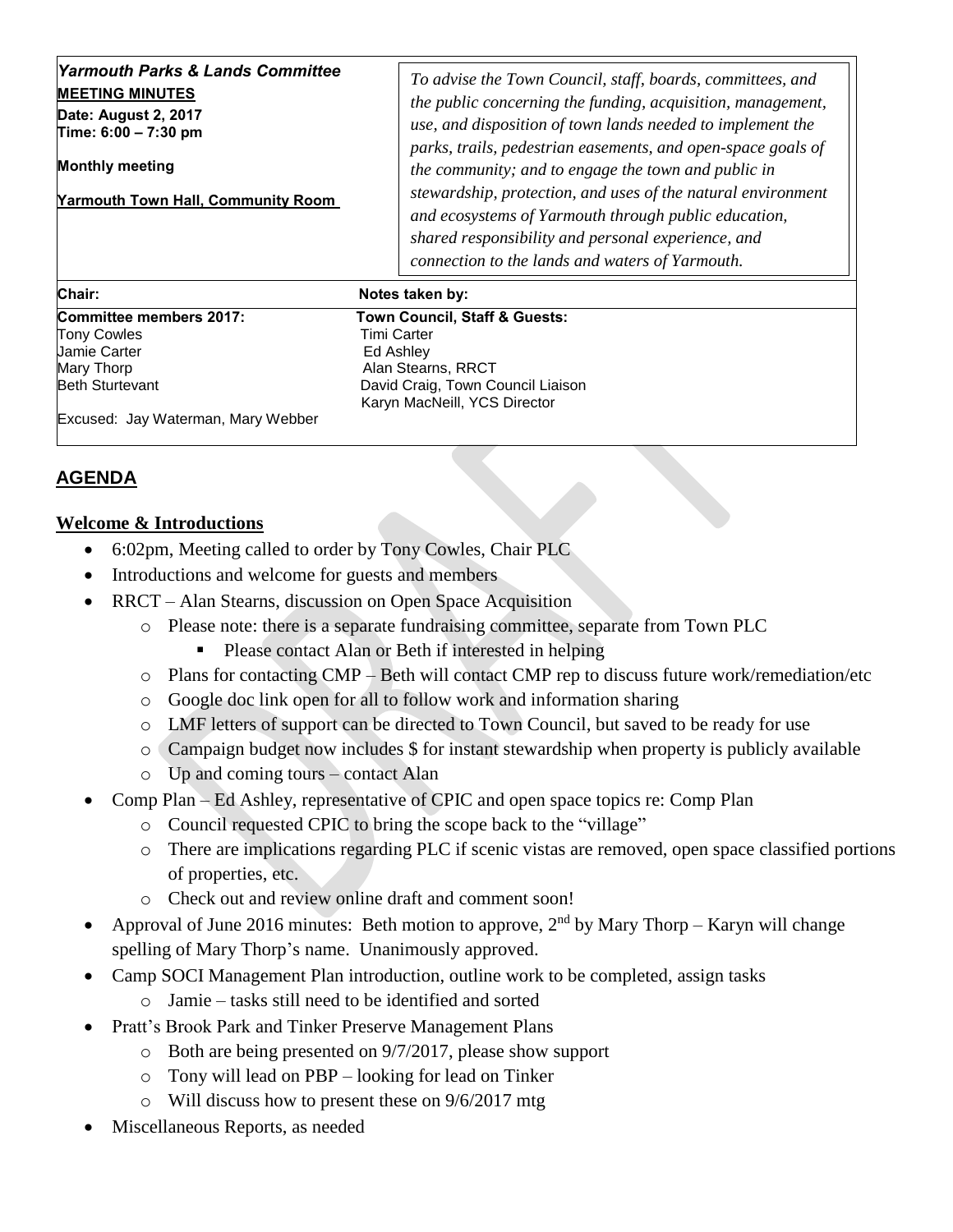| <b>Yarmouth Parks &amp; Lands Committee</b><br><b>MEETING MINUTES</b><br>Date: August 2, 2017<br>Time: 6:00 - 7:30 pm<br><b>Monthly meeting</b><br><b>Yarmouth Town Hall, Community Room</b> | To advise the Town Council, staff, boards, committees, and<br>the public concerning the funding, acquisition, management,<br>use, and disposition of town lands needed to implement the<br>parks, trails, pedestrian easements, and open-space goals of<br>the community; and to engage the town and public in<br>stewardship, protection, and uses of the natural environment<br>and ecosystems of Yarmouth through public education, |
|----------------------------------------------------------------------------------------------------------------------------------------------------------------------------------------------|----------------------------------------------------------------------------------------------------------------------------------------------------------------------------------------------------------------------------------------------------------------------------------------------------------------------------------------------------------------------------------------------------------------------------------------|
|                                                                                                                                                                                              | shared responsibility and personal experience, and<br>connection to the lands and waters of Yarmouth.                                                                                                                                                                                                                                                                                                                                  |
| Chair:                                                                                                                                                                                       | Notes taken by:                                                                                                                                                                                                                                                                                                                                                                                                                        |
| Committee members 2017:<br>Tony Cowles<br>Jamie Carter<br>Mary Thorp<br><b>Beth Sturtevant</b><br>$\Gamma$                                                                                   | Town Council, Staff & Guests:<br>Timi Carter<br>Ed Ashley<br>Alan Stearns, RRCT<br>David Craig, Town Council Liaison<br>Karyn MacNeill, YCS Director                                                                                                                                                                                                                                                                                   |

Excused: Jay Waterman, Mary Webber

## **AGENDA**

## **Welcome & Introductions**

- 6:02pm, Meeting called to order by Tony Cowles, Chair PLC
- Introductions and welcome for guests and members
- RRCT Alan Stearns, discussion on Open Space Acquisition
	- o Please note: there is a separate fundraising committee, separate from Town PLC
		- Please contact Alan or Beth if interested in helping
	- o Plans for contacting CMP Beth will contact CMP rep to discuss future work/remediation/etc
	- o Google doc link open for all to follow work and information sharing
	- o LMF letters of support can be directed to Town Council, but saved to be ready for use
	- o Campaign budget now includes \$ for instant stewardship when property is publicly available
	- o Up and coming tours contact Alan
- Comp Plan Ed Ashley, representative of CPIC and open space topics re: Comp Plan
	- o Council requested CPIC to bring the scope back to the "village"
	- o There are implications regarding PLC if scenic vistas are removed, open space classified portions of properties, etc.
	- o Check out and review online draft and comment soon!
- Approval of June 2016 minutes: Beth motion to approve,  $2^{nd}$  by Mary Thorp Karyn will change spelling of Mary Thorp's name. Unanimously approved.
- Camp SOCI Management Plan introduction, outline work to be completed, assign tasks
	- o Jamie tasks still need to be identified and sorted
- Pratt's Brook Park and Tinker Preserve Management Plans
	- o Both are being presented on 9/7/2017, please show support
	- o Tony will lead on PBP looking for lead on Tinker
	- o Will discuss how to present these on 9/6/2017 mtg
- Miscellaneous Reports, as needed